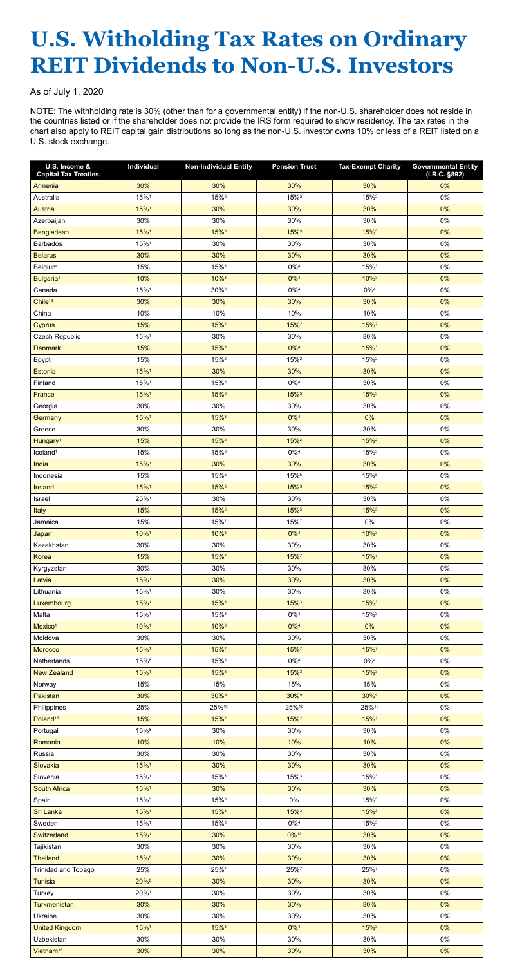## **U.S. Witholding Tax Rates on Ordinary REIT Dividends to Non-U.S. Investors**

As of July 1, 2020

NOTE: The withholding rate is 30% (other than for a governmental entity) if the non-U.S. shareholder does not reside in the countries listed or if the shareholder does not provide the IRS form required to show residency. The tax rates in the chart also apply to REIT capital gain distributions so long as the non-U.S. investor owns 10% or less of a REIT listed on a U.S. stock exchange.

| U.S. Income &<br><b>Capital Tax Treaties</b> | Individual  | <b>Non-Individual Entity</b> | <b>Pension Trust</b> | <b>Tax-Exempt Charity</b> | <b>Governmental Entity</b><br>(I.R.C. §892) |
|----------------------------------------------|-------------|------------------------------|----------------------|---------------------------|---------------------------------------------|
| Armenia                                      | 30%         | 30%                          | 30%                  | 30%                       | 0%                                          |
| Australia                                    | 15%1        | 15%3                         | 15%3                 | 15%3                      | $0\%$                                       |
| Austria                                      | 15%1        | 30%                          | 30%                  | 30%                       | 0%                                          |
| Azerbaijan                                   | 30%         | 30%                          | 30%                  | 30%                       | $0\%$                                       |
| <b>Bangladesh</b>                            | 15%1        | 15% <sup>3</sup>             | 15%3                 | 15% <sup>3</sup>          | 0%                                          |
| <b>Barbados</b>                              | 15%1        | 30%                          | 30%                  | 30%                       | 0%                                          |
| <b>Belarus</b>                               | 30%         | 30%                          | 30%                  | 30%                       | 0%                                          |
| Belgium                                      | 15%         | 15%3                         | $0\%^{4}$            | 15%3                      | $0\%$                                       |
| Bulgaria <sup>1</sup>                        | 10%         | 10%3                         | $0\%^{4}$            | 10%3                      | 0%                                          |
| Canada                                       | 15%1        | $30\%$ <sup>3</sup>          | $0\%^{4}$            | $0\%^{4}$                 | $0\%$                                       |
| Chile <sup>13</sup>                          | 30%         | 30%                          | 30%                  | 30%                       | 0%                                          |
| China                                        | 10%         | 10%                          | 10%                  | 10%                       | $0\%$                                       |
| Cyprus                                       | 15%         | $15%^{2}$                    | 15% <sup>2</sup>     | 15% <sup>2</sup>          | 0%                                          |
| Czech Republic                               | 15%1        | 30%                          | 30%                  | 30%                       | 0%                                          |
| <b>Denmark</b>                               | 15%         | 15%3                         | $0\%^{4}$            | 15%3                      | 0%                                          |
| Egypt                                        | 15%         | 15% <sup>2</sup>             | 15% <sup>2</sup>     | 15% <sup>2</sup>          | $0\%$                                       |
| Estonia                                      | 15%1        | 30%                          | 30%                  | 30%                       | 0%                                          |
| Finland                                      | 15%1        | 15%3                         | $0\%^{4}$            | 30%                       | 0%                                          |
| France                                       | 15%1        | 15%3                         | 15%3                 | 15%3                      | 0%                                          |
| Georgia                                      | 30%         | 30%                          | 30%                  | 30%                       | $0\%$                                       |
| Germany                                      | 15%1        | 15%3                         | $0\%^{4}$            | 0%                        | 0%                                          |
| Greece                                       | 30%         | 30%                          | 30%                  | 30%                       | $0\%$                                       |
| Hungary <sup>11</sup>                        | 15%         | $15%^{2}$                    | 15% <sup>2</sup>     | $15%^{2}$                 | 0%                                          |
| Iceland <sup>1</sup>                         | 15%         | 15%3                         | $0\%^{4}$            | 15%3                      | $0\%$                                       |
| India                                        | 15%1        | 30%                          | 30%                  | 30%                       | 0%                                          |
| Indonesia                                    | 15%         | 15%5                         | 15%5                 | 15%5                      | $0\%$                                       |
| Ireland                                      | 15%1        | 15% <sup>3</sup>             | 15% <sup>3</sup>     | 15% <sup>3</sup>          | 0%                                          |
| Israel                                       | 25%1        | 30%                          | 30%                  | 30%                       | $0\%$                                       |
| Italy                                        | 15%         | 15%5                         | 15%5                 | 15%5                      | 0%                                          |
| Jamaica                                      | 15%         | 15%7                         | 15%7                 | 0%                        | $0\%$                                       |
| Japan                                        | 10%1        | 10%3                         | $0\%^{4}$            | 10%3                      | 0%                                          |
| Kazakhstan                                   | 30%         | 30%                          | 30%                  | 30%                       | 0%                                          |
| Korea                                        | 15%         | 15%7                         | 15%7                 | 15%7                      | 0%                                          |
| Kyrgyzstan                                   | 30%<br>15%1 | 30%<br>30%                   | 30%<br>30%           | 30%<br>30%                | $0\%$<br>0%                                 |
| Latvia<br>Lithuania                          | 15%1        | 30%                          | 30%                  | 30%                       | $0\%$                                       |
|                                              | 15%1        | 15%3                         | 15%3                 | 15%3                      | 0%                                          |
| Luxembourg<br>Malta                          | 15%1        | 15%3                         | $0\%^{4}$            | 15%3                      | $0\%$                                       |
| Mexico <sup>1</sup>                          | 10%1        | 10%3                         | $0\%^{4}$            | 0%                        | 0%                                          |
| Moldova                                      | 30%         | 30%                          | 30%                  | 30%                       | $0\%$                                       |
| Morocco                                      | 15%1        | 15%7                         | 15%7                 | 15%7                      | 0%                                          |
| Netherlands                                  | 15%8        | 15%3                         | $0\%^{4}$            | $0\%^{4}$                 | $0\%$                                       |
| <b>New Zealand</b>                           | 15%1        | 15%3                         | 15%3                 | 15%3                      | 0%                                          |
| Norway                                       | 15%         | 15%                          | 15%                  | 15%                       | $0\%$                                       |
| Pakistan                                     | 30%         | 30% <sup>9</sup>             | 30% <sup>9</sup>     | 30% <sup>9</sup>          | 0%                                          |
| Philippines                                  | 25%         | 25%10                        | 25%10                | 25%10                     | $0\%$                                       |
| Poland <sup>15</sup>                         | 15%         | 15% <sup>2</sup>             | 15% <sup>2</sup>     | 15% <sup>2</sup>          | $0\%$                                       |
| Portugal                                     | 15%8        | 30%                          | 30%                  | 30%                       | $0\%$                                       |
| Romania                                      | 10%         | 10%                          | 10%                  | 10%                       | 0%                                          |
| Russia                                       | 30%         | 30%                          | 30%                  | 30%                       | $0\%$                                       |
| Slovakia                                     | 15%1        | 30%                          | 30%                  | 30%                       | 0%                                          |
| Slovenia                                     | 15%1        | 15%3                         | 15%3                 | 15%3                      | $0\%$                                       |
| South Africa                                 | 15%1        | 30%                          | 30%                  | 30%                       | 0%                                          |
| Spain                                        | 15%3        | $15\%$ <sup>3</sup>          | $0\%$                | 15%3                      | $0\%$                                       |
| Sri Lanka                                    | 15%1        | 15%3                         | 15%3                 | 15%3                      | 0%                                          |
| Sweden                                       | 15%1        | 15% <sup>3</sup>             | $0\%^{4}$            | 15% <sup>3</sup>          | $0\%$                                       |
| Switzerland                                  | 15%1        | 30%                          | 0%12                 | 30%                       | 0%                                          |
| Tajikistan                                   | 30%         | 30%                          | 30%                  | 30%                       | $0\%$                                       |
| <b>Thailand</b>                              | 15%8        | 30%                          | 30%                  | 30%                       | 0%                                          |
| Trinidad and Tobago                          | 25%         | 25%7                         | 25%7                 | 25%7                      | $0\%$                                       |
| <b>Tunisia</b>                               | 20%8        | 30%                          | 30%                  | 30%                       | 0%                                          |
| Turkey                                       | 20%1        | 30%                          | 30%                  | 30%                       | $0\%$                                       |
| Turkmenistan                                 | 30%         | 30%                          | 30%                  | 30%                       | 0%                                          |
| Ukraine                                      | 30%         | 30%                          | 30%                  | 30%                       | 0%                                          |
| <b>United Kingdom</b>                        | 15%1        | 15%3                         | $0\%^{4}$            | $15\%$ <sup>3</sup>       | $0\%$                                       |
| Uzbekistan                                   | 30%         | 30%                          | 30%                  | 30%                       | 0%                                          |
| Vietnam <sup>16</sup>                        | 30%         | 30%                          | 30%                  | 30%                       | 0%                                          |